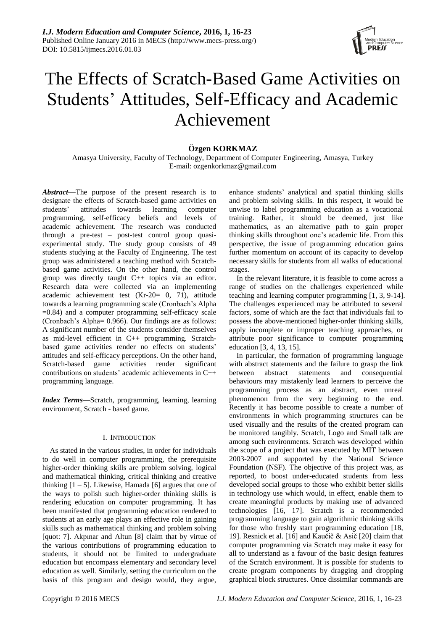

# The Effects of Scratch-Based Game Activities on Students' Attitudes, Self-Efficacy and Academic Achievement

## **Özgen KORKMAZ**

Amasya University, Faculty of Technology, Department of Computer Engineering, Amasya, Turkey E-mail: [ozgenkorkmaz@gmail.com](mailto:ozgenkorkmaz@gmail.com)

*Abstract***—**The purpose of the present research is to designate the effects of Scratch-based game activities on students' attitudes towards learning computer programming, self-efficacy beliefs and levels of academic achievement. The research was conducted through a pre-test – post-test control group quasiexperimental study. The study group consists of 49 students studying at the Faculty of Engineering. The test group was administered a teaching method with Scratchbased game activities. On the other hand, the control group was directly taught C++ topics via an editor. Research data were collected via an implementing academic achievement test (Kr-20= 0, 71), attitude towards a learning programming scale (Cronbach's Alpha =0.84) and a computer programming self-efficacy scale (Cronbach's Alpha= 0.966). Our findings are as follows: A significant number of the students consider themselves as mid-level efficient in C++ programming. Scratchbased game activities render no effects on students' attitudes and self-efficacy perceptions. On the other hand, Scratch-based game activities render significant contributions on students' academic achievements in C++ programming language.

*Index Terms***—**Scratch, programming, learning, learning environment, Scratch - based game.

## I. INTRODUCTION

As stated in the various studies, in order for individuals to do well in computer programming, the prerequisite higher-order thinking skills are problem solving, logical and mathematical thinking, critical thinking and creative thinking  $[1 - 5]$ . Likewise, Hamada [6] argues that one of the ways to polish such higher-order thinking skills is rendering education on computer programming. It has been manifested that programming education rendered to students at an early age plays an effective role in gaining skills such as mathematical thinking and problem solving [quot: 7]. Akpınar and Altun [8] claim that by virtue of the various contributions of programming education to students, it should not be limited to undergraduate education but encompass elementary and secondary level education as well. Similarly, setting the curriculum on the basis of this program and design would, they argue,

enhance students' analytical and spatial thinking skills and problem solving skills. In this respect, it would be unwise to label programming education as a vocational training. Rather, it should be deemed, just like mathematics, as an alternative path to gain proper thinking skills throughout one's academic life. From this perspective, the issue of programming education gains further momentum on account of its capacity to develop necessary skills for students from all walks of educational stages.

In the relevant literature, it is feasible to come across a range of studies on the challenges experienced while teaching and learning computer programming [1, 3, 9-14]. The challenges experienced may be attributed to several factors, some of which are the fact that individuals fail to possess the above-mentioned higher-order thinking skills, apply incomplete or improper teaching approaches, or attribute poor significance to computer programming education [3, 4, 13, 15].

In particular, the formation of programming language with abstract statements and the failure to grasp the link between abstract statements and consequential behaviours may mistakenly lead learners to perceive the programming process as an abstract, even unreal phenomenon from the very beginning to the end. Recently it has become possible to create a number of environments in which programming structures can be used visually and the results of the created program can be monitored tangibly. Scratch, Logo and Small talk are among such environments. Scratch was developed within the scope of a project that was executed by MIT between 2003-2007 and supported by the National Science Foundation (NSF). The objective of this project was, as reported, to boost under-educated students from less developed social groups to those who exhibit better skills in technology use which would, in effect, enable them to create meaningful products by making use of advanced technologies [16, 17]. Scratch is a recommended programming language to gain algorithmic thinking skills for those who freshly start programming education [18, 19]. Resnick et al. [16] and Kaučič & Asič [20] claim that computer programming via Scratch may make it easy for all to understand as a favour of the basic design features of the Scratch environment. It is possible for students to create program components by dragging and dropping graphical block structures. Once dissimilar commands are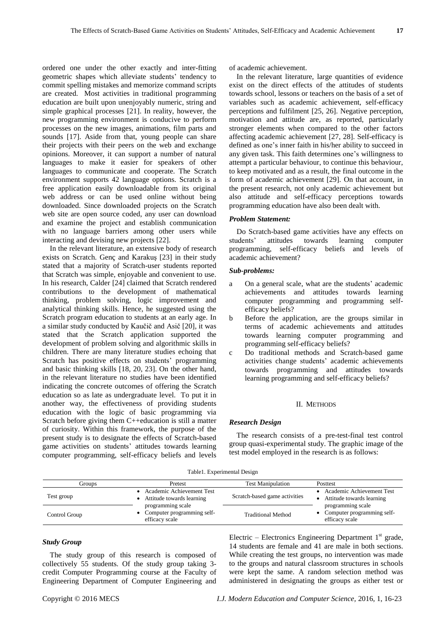ordered one under the other exactly and inter-fitting geometric shapes which alleviate students' tendency to commit spelling mistakes and memorize command scripts are created. Most activities in traditional programming education are built upon unenjoyably numeric, string and simple graphical processes [21]. In reality, however, the new programming environment is conducive to perform processes on the new images, animations, film parts and sounds [17]. Aside from that, young people can share their projects with their peers on the web and exchange opinions. Moreover, it can support a number of natural languages to make it easier for speakers of other languages to communicate and cooperate. The Scratch environment supports 42 language options. Scratch is a free application easily downloadable from its original web address or can be used online without being downloaded. Since downloaded projects on the Scratch web site are open source coded, any user can download and examine the project and establish communication with no language barriers among other users while interacting and devising new projects [22].

In the relevant literature, an extensive body of research exists on Scratch. Gençand Karakuş [23] in their study stated that a majority of Scratch-user students reported that Scratch was simple, enjoyable and convenient to use. In his research, Calder [24] claimed that Scratch rendered contributions to the development of mathematical thinking, problem solving, logic improvement and analytical thinking skills. Hence, he suggested using the Scratch program education to students at an early age. In a similar study conducted by Kaučič and Asič [20], it was stated that the Scratch application supported the development of problem solving and algorithmic skills in children. There are many literature studies echoing that Scratch has positive effects on students' programming and basic thinking skills [18, 20, 23]. On the other hand, in the relevant literature no studies have been identified indicating the concrete outcomes of offering the Scratch education so as late as undergraduate level. To put it in another way, the effectiveness of providing students education with the logic of basic programming via Scratch before giving them C++education is still a matter of curiosity. Within this framework, the purpose of the present study is to designate the effects of Scratch-based game activities on students' attitudes towards learning computer programming, self-efficacy beliefs and levels of academic achievement.

In the relevant literature, large quantities of evidence exist on the direct effects of the attitudes of students towards school, lessons or teachers on the basis of a set of variables such as academic achievement, self-efficacy perceptions and fulfilment [25, 26]. Negative perception, motivation and attitude are, as reported, particularly stronger elements when compared to the other factors affecting academic achievement [27, 28]. Self-efficacy is defined as one's inner faith in his/her ability to succeed in any given task. This faith determines one's willingness to attempt a particular behaviour, to continue this behaviour, to keep motivated and as a result, the final outcome in the form of academic achievement [29]. On that account, in the present research, not only academic achievement but also attitude and self-efficacy perceptions towards programming education have also been dealt with.

## *Problem Statement:*

Do Scratch-based game activities have any effects on students' attitudes towards learning computer programming, self-efficacy beliefs and levels of academic achievement?

## *Sub-problems:*

- a On a general scale, what are the students' academic achievements and attitudes towards learning computer programming and programming selfefficacy beliefs?
- b Before the application, are the groups similar in terms of academic achievements and attitudes towards learning computer programming and programming self-efficacy beliefs?
- c Do traditional methods and Scratch-based game activities change students' academic achievements towards programming and attitudes towards learning programming and self-efficacy beliefs?

### II. METHODS

## *Research Design*

The research consists of a pre-test-final test control group quasi-experimental study. The graphic image of the test model employed in the research is as follows:

#### Table1. Experimental Design

| Groups        | Pretest                                                             | <b>Test Manipulation</b>      | Posttest                                                            |  |
|---------------|---------------------------------------------------------------------|-------------------------------|---------------------------------------------------------------------|--|
| Test group    | • Academic Achievement Test<br>Attitude towards learning            | Scratch-based game activities | Academic Achievement Test<br>Attitude towards learning              |  |
| Control Group | programming scale<br>• Computer programming self-<br>efficacy scale | <b>Traditional Method</b>     | programming scale<br>• Computer programming self-<br>efficacy scale |  |

## *Study Group*

The study group of this research is composed of collectively 55 students. Of the study group taking 3 credit Computer Programming course at the Faculty of Engineering Department of Computer Engineering and

Electric - Electronics Engineering Department  $1<sup>st</sup>$  grade, 14 students are female and 41 are male in both sections. While creating the test groups, no intervention was made to the groups and natural classroom structures in schools were kept the same. A random selection method was administered in designating the groups as either test or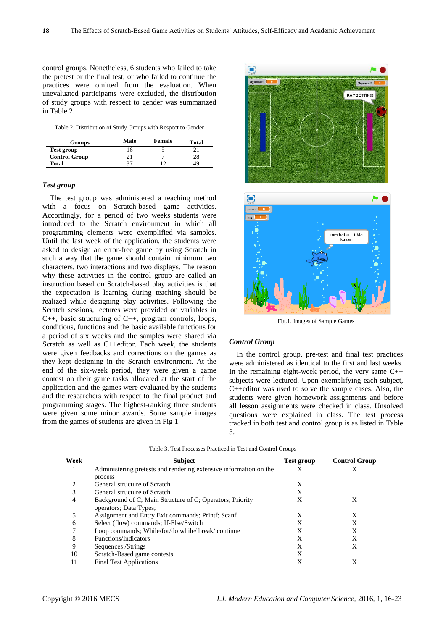control groups. Nonetheless, 6 students who failed to take the pretest or the final test, or who failed to continue the practices were omitted from the evaluation. When unevaluated participants were excluded, the distribution of study groups with respect to gender was summarized in Table 2.

Table 2. Distribution of Study Groups with Respect to Gender

| <b>Groups</b>        | Male | Female | Total |
|----------------------|------|--------|-------|
| Test group           | 16   |        |       |
| <b>Control Group</b> | 21   |        | 28    |
| <b>Total</b>         | 37   |        | 49    |

## *Test group*

The test group was administered a teaching method with a focus on Scratch-based game activities. Accordingly, for a period of two weeks students were introduced to the Scratch environment in which all programming elements were exemplified via samples. Until the last week of the application, the students were asked to design an error-free game by using Scratch in such a way that the game should contain minimum two characters, two interactions and two displays. The reason why these activities in the control group are called an instruction based on Scratch-based play activities is that the expectation is learning during teaching should be realized while designing play activities. Following the Scratch sessions, lectures were provided on variables in C++, basic structuring of C++, program controls, loops, conditions, functions and the basic available functions for a period of six weeks and the samples were shared via Scratch as well as C++editor. Each week, the students were given feedbacks and corrections on the games as they kept designing in the Scratch environment. At the end of the six-week period, they were given a game contest on their game tasks allocated at the start of the application and the games were evaluated by the students and the researchers with respect to the final product and programming stages. The highest-ranking three students were given some minor awards. Some sample images from the games of students are given in Fig 1.



Fig.1. Images of Sample Games

#### *Control Group*

In the control group, pre-test and final test practices were administered as identical to the first and last weeks. In the remaining eight-week period, the very same  $C++$ subjects were lectured. Upon exemplifying each subject, C++editor was used to solve the sample cases. Also, the students were given homework assignments and before all lesson assignments were checked in class. Unsolved questions were explained in class. The test process tracked in both test and control group is as listed in Table 3.

| Week | <b>Subject</b>                                                    | Test group | <b>Control Group</b> |
|------|-------------------------------------------------------------------|------------|----------------------|
|      | Administering pretests and rendering extensive information on the | X          |                      |
|      | process                                                           |            |                      |
|      | General structure of Scratch                                      | X          |                      |
| 3    | General structure of Scratch                                      | X          |                      |
| 4    | Background of C; Main Structure of C; Operators; Priority         | X          | X                    |
|      | operators; Data Types;                                            |            |                      |
| 5    | Assignment and Entry Exit commands; Printf; Scanf                 | X          | X                    |
| 6    | Select (flow) commands; If-Else/Switch                            | X          | X                    |
|      | Loop commands; While/for/do while/ break/ continue                | X          | X                    |
| 8    | Functions/Indicators                                              | X          | X                    |
| 9    | Sequences / Strings                                               | X          | X                    |
| 10   | Scratch-Based game contests                                       | X          |                      |
|      | <b>Final Test Applications</b>                                    | X          | X                    |

Table 3. Test Processes Practiced in Test and Control Groups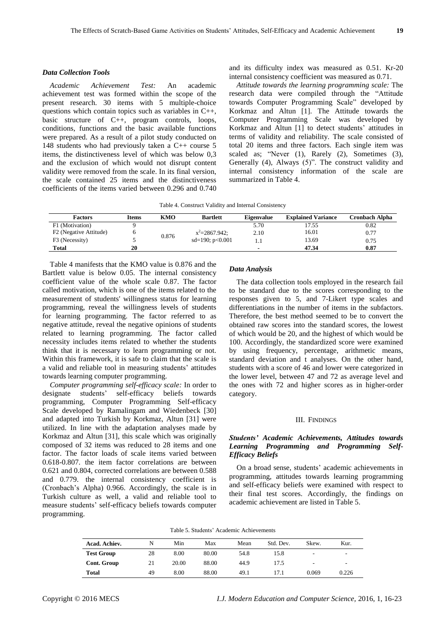#### *Data Collection Tools*

*Academic Achievement Test:* An academic achievement test was formed within the scope of the present research. 30 items with 5 multiple-choice questions which contain topics such as variables in C++, basic structure of C++, program controls, loops, conditions, functions and the basic available functions were prepared. As a result of a pilot study conducted on 148 students who had previously taken a C++ course 5 items, the distinctiveness level of which was below 0,3 and the exclusion of which would not disrupt content validity were removed from the scale. In its final version, the scale contained 25 items and the distinctiveness coefficients of the items varied between 0.296 and 0.740

and its difficulty index was measured as 0.51. Kr-20 internal consistency coefficient was measured as 0.71.

*Attitude towards the learning programming scale:* The research data were compiled through the "Attitude towards Computer Programming Scale" developed by Korkmaz and Altun [1]. The Attitude towards the Computer Programming Scale was developed by Korkmaz and Altun [1] to detect students' attitudes in terms of validity and reliability. The scale consisted of total 20 items and three factors. Each single item was scaled as; "Never (1), Rarely (2), Sometimes (3), Generally  $(4)$ , Always  $(5)$ ". The construct validity and internal consistency information of the scale are summarized in Table 4.

Table 4. Construct Validity and Internal Consistency

| <b>Factors</b>         | Items | KMO   | <b>Bartlett</b>   | <b>Eigenvalue</b> | <b>Explained Variance</b> | Cronbach Alpha |
|------------------------|-------|-------|-------------------|-------------------|---------------------------|----------------|
| F1 (Motivation)        |       |       |                   | 5.70              | 17.55                     | 0.82           |
| F2 (Negative Attitude) |       | 0.876 | $x^2 = 2867.942$  | 2.10              | 16.01                     | 0.77           |
| F3 (Necessity)         |       |       | $sd=190; p<0.001$ |                   | 13.69                     | 0.75           |
| Total                  | 20    |       |                   |                   | 47.34                     | 0.87           |

Table 4 manifests that the KMO value is 0.876 and the Bartlett value is below 0.05. The internal consistency coefficient value of the whole scale 0.87. The factor called motivation, which is one of the items related to the measurement of students' willingness status for learning programming, reveal the willingness levels of students for learning programming. The factor referred to as negative attitude, reveal the negative opinions of students related to learning programming. The factor called necessity includes items related to whether the students think that it is necessary to learn programming or not. Within this framework, it is safe to claim that the scale is a valid and reliable tool in measuring students' attitudes towards learning computer programming.

*Computer programming self-efficacy scale:* In order to designate students' self-efficacy beliefs towards programming, Computer Programming Self-efficacy Scale developed by Ramalingam and Wiedenbeck [30] and adapted into Turkish by Korkmaz, Altun [31] were utilized. In line with the adaptation analyses made by Korkmaz and Altun [31], this scale which was originally composed of 32 items was reduced to 28 items and one factor. The factor loads of scale items varied between 0.618-0.807. the item factor correlations are between 0.621 and 0.804, corrected correlations are between 0.588 and 0.779. the internal consistency coefficient is (Cronbach's Alpha) 0.966. Accordingly, the scale is in Turkish culture as well, a valid and reliable tool to measure students' self-efficacy beliefs towards computer programming.

## *Data Analysis*

The data collection tools employed in the research fail to be standard due to the scores corresponding to the responses given to 5, and 7-Likert type scales and differentiations in the number of items in the subfactors. Therefore, the best method seemed to be to convert the obtained raw scores into the standard scores, the lowest of which would be 20, and the highest of which would be 100. Accordingly, the standardized score were examined by using frequency, percentage, arithmetic means, standard deviation and t analyses. On the other hand, students with a score of 46 and lower were categorized in the lower level, between 47 and 72 as average level and the ones with 72 and higher scores as in higher-order category.

#### III. FINDINGS

## *Students' Academic Achievements, Attitudes towards Learning Programming and Programming Self-Efficacy Beliefs*

On a broad sense, students' academic achievements in programming, attitudes towards learning programming and self-efficacy beliefs were examined with respect to their final test scores. Accordingly, the findings on academic achievement are listed in Table 5.

| Table 5. Students' Academic Achievements |  |  |
|------------------------------------------|--|--|
|------------------------------------------|--|--|

| Acad. Achiev.      | N  | Min   | Max   | Mean | Std. Dev. | Skew. | Kur.  |
|--------------------|----|-------|-------|------|-----------|-------|-------|
| <b>Test Group</b>  | 28 | 8.00  | 80.00 | 54.8 | 15.8      | ۰.    | -     |
| <b>Cont. Group</b> | 21 | 20.00 | 88.00 | 44.9 | 17.5      | ۰.    | -     |
| <b>Total</b>       | 49 | 8.00  | 88.00 | 49.1 | 17.1      | 0.069 | 0.226 |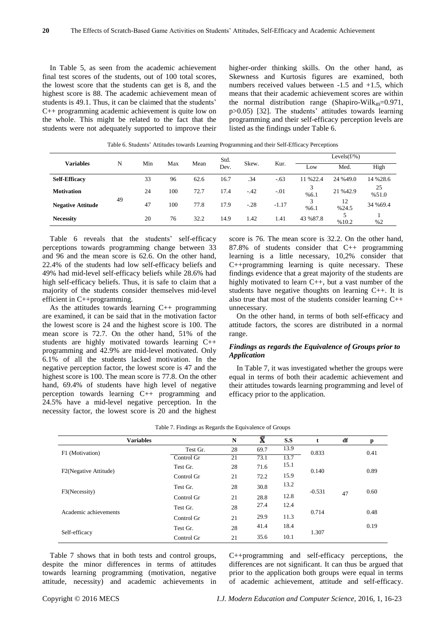In Table 5, as seen from the academic achievement final test scores of the students, out of 100 total scores, the lowest score that the students can get is 8, and the highest score is 88. The academic achievement mean of students is 49.1. Thus, it can be claimed that the students' C++ programming academic achievement is quite low on the whole. This might be related to the fact that the students were not adequately supported to improve their

higher-order thinking skills. On the other hand, as Skewness and Kurtosis figures are examined, both numbers received values between -1.5 and +1.5, which means that their academic achievement scores are within the normal distribution range (Shapiro-Wilk<sub>49</sub>=0.971, p>0.05) [32]. The students' attitudes towards learning programming and their self-efficacy perception levels are listed as the findings under Table 6.

|                          |    |    | Min<br>Max |      | Std. |        |         | Levels $(f/\%)$ |             |             |  |
|--------------------------|----|----|------------|------|------|--------|---------|-----------------|-------------|-------------|--|
| <b>Variables</b>         | N  |    |            | Mean | Dev. | Skew.  | Kur.    | Low             | Med.        | High        |  |
| <b>Self-Efficacy</b>     |    | 33 | 96         | 62.6 | 16.7 | .34    | $-.63$  | 11 % 22.4       | 24 %49.0    | 14 % 28.6   |  |
| <b>Motivation</b>        |    | 24 | 100        | 72.7 | 17.4 | $-.42$ | $-.01$  | %6.1            | 21 %42.9    | 25<br>%51.0 |  |
| <b>Negative Attitude</b> | 49 | 47 | 100        | 77.8 | 17.9 | $-.28$ | $-1.17$ | %6.1            | 12<br>%24.5 | 34 %69.4    |  |
| <b>Necessity</b>         |    | 20 | 76         | 32.2 | 14.9 | 1.42   | 1.41    | 43 %87.8        | %10.2       | %2          |  |

Table 6. Students' Attitudes towards Learning Programming and their Self-Efficacy Perceptions

Table 6 reveals that the students' self-efficacy perceptions towards programming change between 33 and 96 and the mean score is 62.6. On the other hand, 22.4% of the students had low self-efficacy beliefs and 49% had mid-level self-efficacy beliefs while 28.6% had high self-efficacy beliefs. Thus, it is safe to claim that a majority of the students consider themselves mid-level efficient in C++programming.

As the attitudes towards learning  $C_{++}$  programming are examined, it can be said that in the motivation factor the lowest score is 24 and the highest score is 100. The mean score is 72.7. On the other hand, 51% of the students are highly motivated towards learning C++ programming and 42.9% are mid-level motivated. Only 6.1% of all the students lacked motivation. In the negative perception factor, the lowest score is 47 and the highest score is 100. The mean score is 77.8. On the other hand, 69.4% of students have high level of negative perception towards learning C++ programming and 24.5% have a mid-level negative perception. In the necessity factor, the lowest score is 20 and the highest score is 76. The mean score is 32.2. On the other hand, 87.8% of students consider that C++ programming learning is a little necessary, 10,2% consider that C++programming learning is quite necessary. These findings evidence that a great majority of the students are highly motivated to learn C++, but a vast number of the students have negative thoughts on learning C++. It is also true that most of the students consider learning C++ unnecessary.

On the other hand, in terms of both self-efficacy and attitude factors, the scores are distributed in a normal range.

## *Findings as regards the Equivalence of Groups prior to Application*

In Table 7, it was investigated whether the groups were equal in terms of both their academic achievement and their attitudes towards learning programming and level of efficacy prior to the application.

| <b>Variables</b>      |            | N  | Ÿ    | S.S  | t        | df | p    |
|-----------------------|------------|----|------|------|----------|----|------|
| F1 (Motivation)       | Test Gr.   | 28 | 69.7 | 13.9 | 0.833    |    | 0.41 |
|                       | Control Gr | 21 | 73.1 | 13.7 |          |    |      |
| F2(Negative Attitude) | Test Gr.   | 28 | 71.6 | 15.1 | 0.140    |    | 0.89 |
|                       | Control Gr | 21 | 72.2 | 15.9 |          |    |      |
|                       | Test Gr.   | 28 | 30.8 | 13.2 | $-0.531$ |    | 0.60 |
| F3(Necessity)         | Control Gr | 21 | 28.8 | 12.8 |          | 47 |      |
|                       | Test Gr.   | 28 | 27.4 | 12.4 |          |    |      |
| Academic achievements | Control Gr | 21 | 29.9 | 11.3 | 0.714    |    | 0.48 |
|                       | Test Gr.   | 28 | 41.4 | 18.4 |          |    | 0.19 |
| Self-efficacy         | Control Gr | 21 | 35.6 | 10.1 | 1.307    |    |      |

|  |  | Table 7. Findings as Regards the Equivalence of Groups |  |
|--|--|--------------------------------------------------------|--|
|  |  |                                                        |  |

Table 7 shows that in both tests and control groups, despite the minor differences in terms of attitudes towards learning programming (motivation, negative attitude, necessity) and academic achievements in C++programming and self-efficacy perceptions, the differences are not significant. It can thus be argued that prior to the application both groups were equal in terms of academic achievement, attitude and self-efficacy.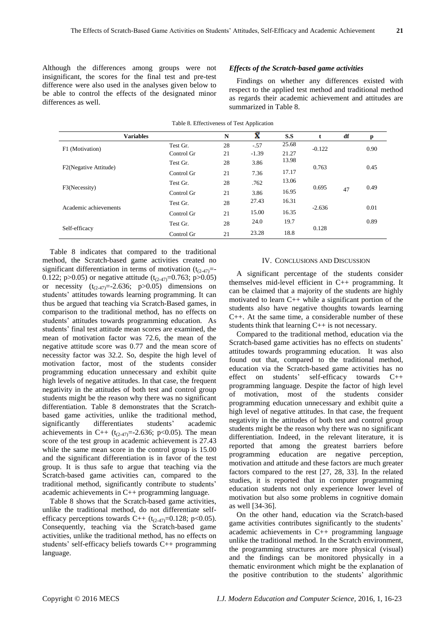Although the differences among groups were not insignificant, the scores for the final test and pre-test difference were also used in the analyses given below to be able to control the effects of the designated minor differences as well.

## *Effects of the Scratch-based game activities*

Findings on whether any differences existed with respect to the applied test method and traditional method as regards their academic achievement and attitudes are summarized in Table 8.

|                       | Table 6. Effectiveness of Test Application |    |         |       |          |    |      |
|-----------------------|--------------------------------------------|----|---------|-------|----------|----|------|
| <b>Variables</b>      |                                            | N  | Ā       | S.S   | t        | df | p    |
| F1 (Motivation)       | Test Gr.                                   | 28 | $-.57$  | 25.68 | $-0.122$ |    | 0.90 |
|                       | Control Gr                                 | 21 | $-1.39$ | 21.27 |          |    |      |
| F2(Negative Attitude) | Test Gr.                                   | 28 | 3.86    | 13.98 | 0.763    |    | 0.45 |
|                       | Control Gr                                 | 21 | 7.36    | 17.17 |          |    |      |
| F3(Necessity)         | Test Gr.                                   | 28 | .762    | 13.06 | 0.695    |    | 0.49 |
|                       | Control Gr                                 | 21 | 3.86    | 16.95 |          | 47 |      |
| Academic achievements | Test Gr.                                   | 28 | 27.43   | 16.31 |          |    |      |
|                       | Control Gr                                 | 21 | 15.00   | 16.35 | $-2.636$ |    | 0.01 |
|                       | Test Gr.                                   | 28 | 24.0    | 19.7  |          |    | 0.89 |
| Self-efficacy         | Control Gr                                 | 21 | 23.28   | 18.8  | 0.128    |    |      |
|                       |                                            |    |         |       |          |    |      |

Table 8. Effectiveness of Test Application

Table 8 indicates that compared to the traditional method, the Scratch-based game activities created no significant differentiation in terms of motivation  $(t_{(2-47)}=$ 0.122; p>0.05) or negative attitude ( $t_{(2-47)}=0.763$ ; p>0.05) or necessity  $(t_{(2-47)}=-2.636; p>0.05)$  dimensions on students' attitudes towards learning programming. It can thus be argued that teaching via Scratch-Based games, in comparison to the traditional method, has no effects on students' attitudes towards programming education. As students' final test attitude mean scores are examined, the mean of motivation factor was 72.6, the mean of the negative attitude score was 0.77 and the mean score of necessity factor was 32.2. So, despite the high level of motivation factor, most of the students consider programming education unnecessary and exhibit quite high levels of negative attitudes. In that case, the frequent negativity in the attitudes of both test and control group students might be the reason why there was no significant differentiation. Table 8 demonstrates that the Scratchbased game activities, unlike the traditional method, significantly differentiates students' academic achievements in C++ ( $t_{(2-47)}$ =-2.636; p<0.05). The mean score of the test group in academic achievement is 27.43 while the same mean score in the control group is 15.00 and the significant differentiation is in favor of the test group. It is thus safe to argue that teaching via the Scratch-based game activities can, compared to the traditional method, significantly contribute to students' academic achievements in C++ programming language.

Table 8 shows that the Scratch-based game activities, unlike the traditional method, do not differentiate selfefficacy perceptions towards C++  $(t_{(2-47)}=0.128; p<0.05)$ . Consequently, teaching via the Scratch-based game activities, unlike the traditional method, has no effects on students' self-efficacy beliefs towards C++ programming language.

## IV. CONCLUSIONS AND DISCUSSION

A significant percentage of the students consider themselves mid-level efficient in C++ programming. It can be claimed that a majority of the students are highly motivated to learn C++ while a significant portion of the students also have negative thoughts towards learning C++. At the same time, a considerable number of these students think that learning  $C++$  is not necessary.

Compared to the traditional method, education via the Scratch-based game activities has no effects on students' attitudes towards programming education. It was also found out that, compared to the traditional method, education via the Scratch-based game activities has no effect on students' self-efficacy towards C++ programming language. Despite the factor of high level of motivation, most of the students consider programming education unnecessary and exhibit quite a high level of negative attitudes. In that case, the frequent negativity in the attitudes of both test and control group students might be the reason why there was no significant differentiation. Indeed, in the relevant literature, it is reported that among the greatest barriers before programming education are negative perception, motivation and attitude and these factors are much greater factors compared to the rest [27, 28, 33]. In the related studies, it is reported that in computer programming education students not only experience lower level of motivation but also some problems in cognitive domain as well [34-36].

On the other hand, education via the Scratch-based game activities contributes significantly to the students' academic achievements in C++ programming language unlike the traditional method. In the Scratch environment, the programming structures are more physical (visual) and the findings can be monitored physically in a thematic environment which might be the explanation of the positive contribution to the students' algorithmic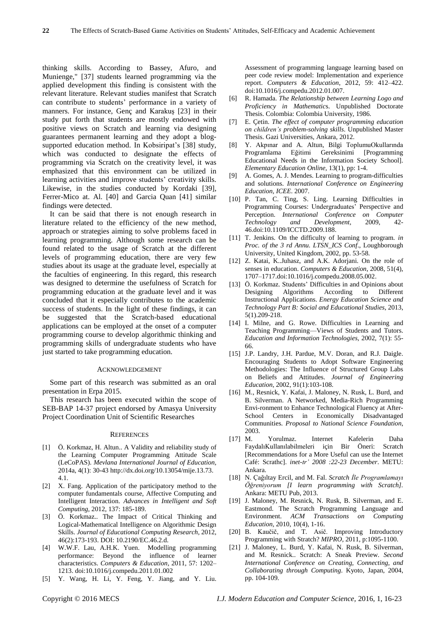thinking skills. According to Bassey, Afuro, and Munienge," [37] students learned programming via the applied development this finding is consistent with the relevant literature. Relevant studies manifest that Scratch can contribute to students' performance in a variety of manners. For instance, Gençand Karakuş [23] in their study put forth that students are mostly endowed with positive views on Scratch and learning via designing guarantees permanent learning and they adopt a blogsupported education method. In Kobsiripat's [38] study, which was conducted to designate the effects of programming via Scratch on the creativity level, it was emphasized that this environment can be utilized in learning activities and improve students' creativity skills. Likewise, in the studies conducted by Kordaki [39], Ferrer-Mico at. Al. [40] and [Garcia](http://www.sciencedirect.com/science/article/pii/S1877042815008265) Quan [41] similar findings were detected.

It can be said that there is not enough research in literature related to the efficiency of the new method, approach or strategies aiming to solve problems faced in learning programming. Although some research can be found related to the usage of Scratch at the different levels of programming education, there are very few studies about its usage at the graduate level, especially at the faculties of engineering. In this regard, this research was designed to determine the usefulness of Scratch for programming education at the graduate level and it was concluded that it especially contributes to the academic success of students. In the light of these findings, it can be suggested that the Scratch-based educational applications can be employed at the onset of a computer programming course to develop algorithmic thinking and programming skills of undergraduate students who have just started to take programming education.

#### ACKNOWLEDGEMENT

Some part of this research was submitted as an oral presentation in Erpa 2015.

This research has been executed within the scope of SEB-BAP 14-37 project endorsed by Amasya University Project Coordination Unit of Scientific Researches

#### **REFERENCES**

- [1] Ö. Korkmaz, H. Altun.. A Validity and reliability study of the Learning Computer Programming Attitude Scale (LeCoPAS). *Mevlana International Journal of Education,* 2014a, 4(1): 30-43 [http://dx.doi.org/10.13054/mije.13.73.](http://dx.doi.org/10.13054/mije.13.73.4.1) [4.1.](http://dx.doi.org/10.13054/mije.13.73.4.1)
- [2] X. Fang. Application of the participatory method to the computer fundamentals course, Affective Computing and Intelligent Interaction. *Advances in Intelligent and Soft Computing*, 2012, 137: 185-189.
- [3] Ö. Korkmaz.. The Impact of Critical Thinking and Logical-Mathematical Intelligence on Algorithmic Design Skills. *Journal of Educational Computing Research,* 2012, 46(2):173-193. DOI: 10.2190/EC.46.2.d.
- [4] W.W.F. Lau, A.H.K. Yuen. Modelling programming performance: Beyond the influence of learner characteristics. *Computers & Education*, 2011, 57: 1202– 1213. doi:10.1016/j.compedu.2011.01.002
- [5] Y. Wang, H. Li, Y. Feng, Y. Jiang, and Y. Liu.

Assessment of programming language learning based on peer code review model: Implementation and experience report. *Computers & Education*, 2012, 59: 412–422. doi:10.1016/j.compedu.2012.01.007.

- [6] R. Hamada. *The Relationship between Learning Logo and Proficiency in Mathematic*s. Unpublished Doctorate Thesis. Colombia: Colombia University, 1986.
- [7] E. Çetin. *The effect of computer programming education on children's problem-solving skills*. Unpublished Master Thesis. Gazi Universities, Ankara, 2012.
- [8] Y. Akpınar and A. Altun, Bilgi ToplumuOkullarında Programlama Eğitimi Gereksinimi [Programming Educational Needs in the Information Society School]. *Elementary Education Online*, 13(1), pp: 1-4.
- [9] A. Gomes, A. J. Mendes. Learning to program-difficulties and solutions. *International Conference on Engineering Education, ICEE*. 2007.
- [10] P. Tan, C. Ting, S. Ling. Learning Difficulties in Programming Courses: Undergraduates' Perspective and Perception. *International Conference on Computer Technology and Development*, 2009, 42- 46.doi:10.1109/ICCTD.2009.188.
- [11] T. Jenkins. On the difficulty of learning to program. *in Proc. of the 3 rd Annu. LTSN\_ICS Conf*., Loughborough University, United Kingdom, 2002, pp. 53-58.
- [12] Z. Katai, K..Juhasz, and A.K. Adorjani. On the role of senses in education. *Computers & Education*, 2008, 51(4), 1707–1717.doi[:10.1016/j.compedu.2008.05.002.](http://dx.doi.org/10.1016/j.compedu.2008.05.002%20/t%20doilink)
- [13] Ö. Korkmaz. Students' Difficulties in and Opinions about Designing Algorithms According to Different Instructional Applications. *Energy Education Science and Technology Part B: Social and Educational Studies*, 2013, 5(1).209-218.
- [14] I. Milne, and G. Rowe. Difficulties in Learning and Teaching Programming—Views of Students and Tutors. *Education and Information Technologies,* 2002, 7(1): 55- 66.
- [15] J.P. Landry, J.H. Pardue, M.V. Doran, and R.J. Daigle. Encouraging Students to Adopt Software Engineering Methodologies: The Influence of Structured Group Labs on Beliefs and Attitudes. *Journal of Engineering Education*, 2002, 91(1):103-108.
- [16] M., Resnick, Y. Kafai, J. Maloney, N. Rusk, L. Burd, and B. Silverman. A Networked, Media-Rich Programming Envi-ronment to Enhance Technological Fluency at After-School Centers in Economically Disadvantaged Communities. *Proposal to National Science Foundation*,  $2003$ .<br>[17] M.
- Yorulmaz. Internet Kafelerin Daha FaydalıKullanılabilmeleri için Bir Öneri: Scratch [Recommendations for a More Useful can use the Internet Café: Scrathc]. *inet-tr' 2008 :22-23 December*. METU: Ankara.
- [18] N. Çağıltay Ercil, and M. Fal. *Scratch İle Programlamayı Öğreniyorum [I learn programming with Scratch].* Ankara: METU Pub, 2013.
- [19] J. Maloney, M. Resnick, N. Rusk, B. Silverman, and E. Eastmond. The Scratch Programming Language and Environment. *ACM Transactions on Computing Education*, 2010, 10(4), 1-16.
- [20] B. Kaučič, and T. Asič. Improving Introductory Programming with Stratch? *MIPRO*, 2011, [p:1095-1100.](tel:1095-1100)
- [21] J. Maloney, L. Burd, Y. Kafai, N. Rusk, B. Silverman, and M. Resnick.. Scratch: A Sneak Preview. *Second International Conference on Creating, Connecting, and Collaborating through Computing*. Kyoto, Japan, 2004, pp. 104-109.